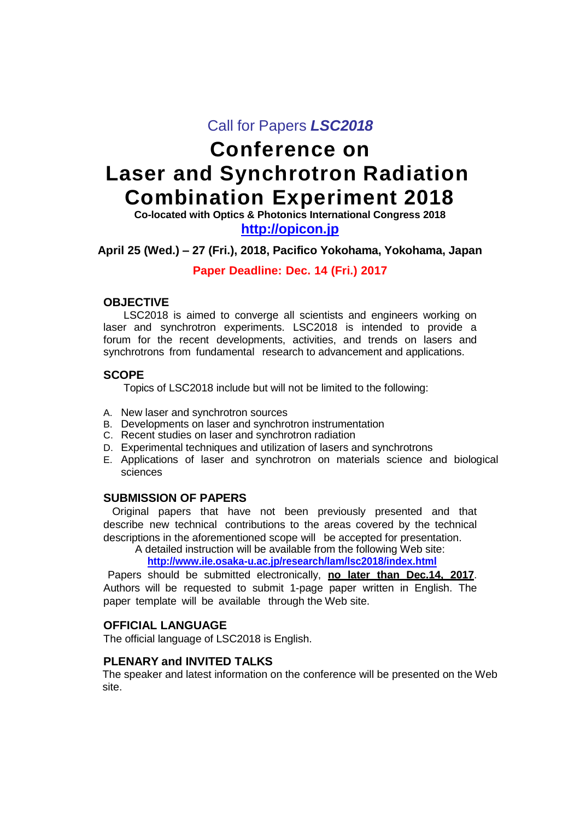# Call for Papers *LSC2018*

# **Conference on Laser and Synchrotron Radiation Combination Experiment 2018**

**Co-located with Optics & Photonics International Congress 2018 http://opicon.jp**

# **April 25 (Wed.) – 27 (Fri.), 2018, Pacifico Yokohama, Yokohama, Japan**

#### **Paper Deadline: Dec. 14 (Fri.) 2017**

#### **OBJECTIVE**

LSC2018 is aimed to converge all scientists and engineers working on laser and synchrotron experiments. LSC2018 is intended to provide a forum for the recent developments, activities, and trends on lasers and synchrotrons from fundamental research to advancement and applications.

#### **SCOPE**

Topics of LSC2018 include but will not be limited to the following:

- A. New laser and synchrotron sources
- B. Developments on laser and synchrotron instrumentation
- C. Recent studies on laser and synchrotron radiation
- D. Experimental techniques and utilization of lasers and synchrotrons
- E. Applications of laser and synchrotron on materials science and biological sciences

#### **SUBMISSION OF PAPERS**

Original papers that have not been previously presented and that describe new technical contributions to the areas covered by the technical descriptions in the aforementioned scope will be accepted for presentation.

A detailed instruction will be available from the following Web site:

**<http://www.ile.osaka-u.ac.jp/research/lam/lsc2018/index.html>**

Papers should be submitted electronically, **no later than Dec.14, 2017**. Authors will be requested to submit 1-page paper written in English. The paper template will be available through the Web site.

# **OFFICIAL LANGUAGE**

The official language of LSC2018 is English.

### **PLENARY and INVITED TALKS**

The speaker and latest information on the conference will be presented on the Web site.